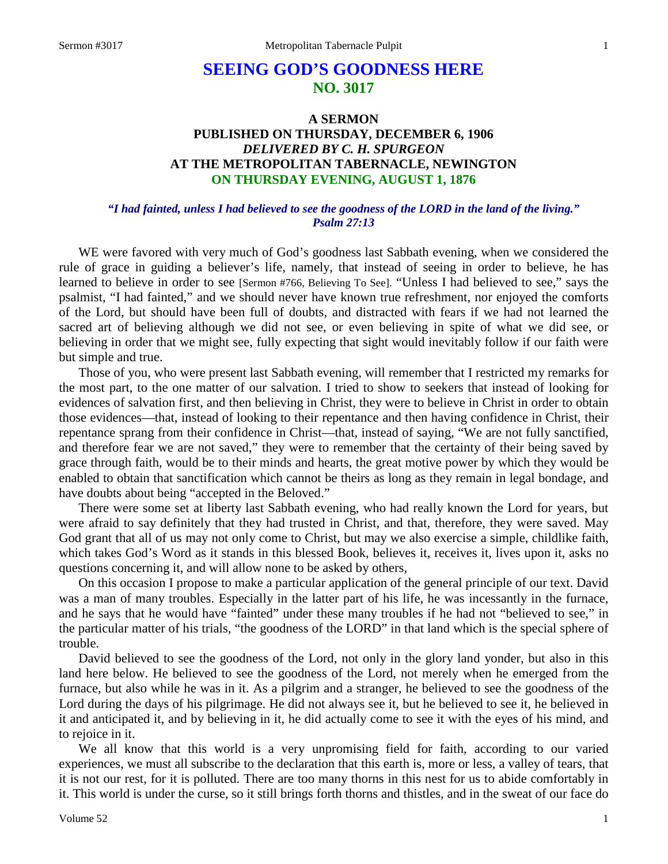# **SEEING GOD'S GOODNESS HERE NO. 3017**

# **A SERMON PUBLISHED ON THURSDAY, DECEMBER 6, 1906** *DELIVERED BY C. H. SPURGEON* **AT THE METROPOLITAN TABERNACLE, NEWINGTON ON THURSDAY EVENING, AUGUST 1, 1876**

#### *"I had fainted, unless I had believed to see the goodness of the LORD in the land of the living." Psalm 27:13*

WE were favored with very much of God's goodness last Sabbath evening, when we considered the rule of grace in guiding a believer's life, namely, that instead of seeing in order to believe, he has learned to believe in order to see [Sermon #766, Believing To See]. "Unless I had believed to see," says the psalmist, "I had fainted," and we should never have known true refreshment, nor enjoyed the comforts of the Lord, but should have been full of doubts, and distracted with fears if we had not learned the sacred art of believing although we did not see, or even believing in spite of what we did see, or believing in order that we might see, fully expecting that sight would inevitably follow if our faith were but simple and true.

Those of you, who were present last Sabbath evening, will remember that I restricted my remarks for the most part, to the one matter of our salvation. I tried to show to seekers that instead of looking for evidences of salvation first, and then believing in Christ, they were to believe in Christ in order to obtain those evidences—that, instead of looking to their repentance and then having confidence in Christ, their repentance sprang from their confidence in Christ—that, instead of saying, "We are not fully sanctified, and therefore fear we are not saved," they were to remember that the certainty of their being saved by grace through faith, would be to their minds and hearts, the great motive power by which they would be enabled to obtain that sanctification which cannot be theirs as long as they remain in legal bondage, and have doubts about being "accepted in the Beloved."

There were some set at liberty last Sabbath evening, who had really known the Lord for years, but were afraid to say definitely that they had trusted in Christ, and that, therefore, they were saved. May God grant that all of us may not only come to Christ, but may we also exercise a simple, childlike faith, which takes God's Word as it stands in this blessed Book, believes it, receives it, lives upon it, asks no questions concerning it, and will allow none to be asked by others,

On this occasion I propose to make a particular application of the general principle of our text. David was a man of many troubles. Especially in the latter part of his life, he was incessantly in the furnace, and he says that he would have "fainted" under these many troubles if he had not "believed to see," in the particular matter of his trials, "the goodness of the LORD" in that land which is the special sphere of trouble.

David believed to see the goodness of the Lord, not only in the glory land yonder, but also in this land here below. He believed to see the goodness of the Lord, not merely when he emerged from the furnace, but also while he was in it. As a pilgrim and a stranger, he believed to see the goodness of the Lord during the days of his pilgrimage. He did not always see it, but he believed to see it, he believed in it and anticipated it, and by believing in it, he did actually come to see it with the eyes of his mind, and to rejoice in it.

We all know that this world is a very unpromising field for faith, according to our varied experiences, we must all subscribe to the declaration that this earth is, more or less, a valley of tears, that it is not our rest, for it is polluted. There are too many thorns in this nest for us to abide comfortably in it. This world is under the curse, so it still brings forth thorns and thistles, and in the sweat of our face do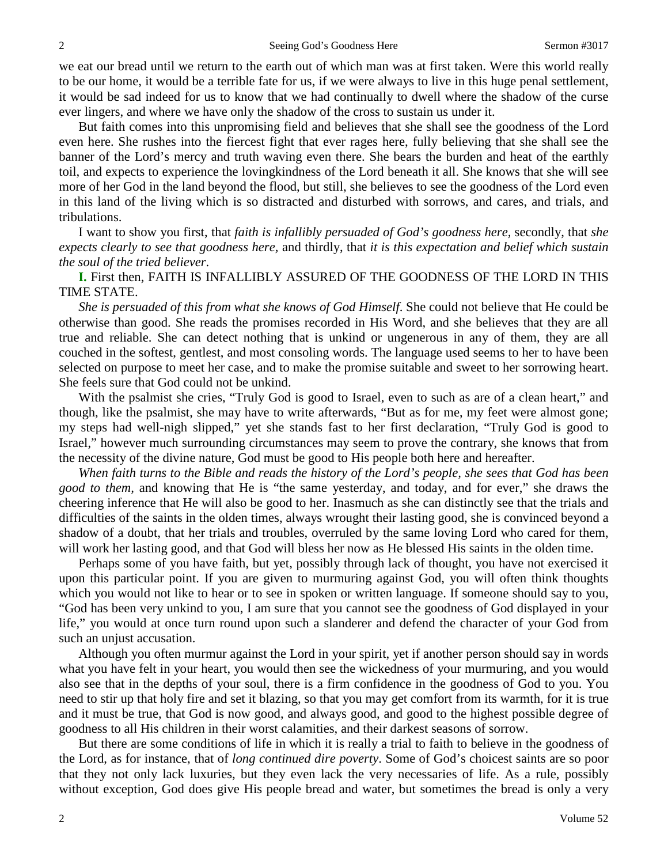we eat our bread until we return to the earth out of which man was at first taken. Were this world really to be our home, it would be a terrible fate for us, if we were always to live in this huge penal settlement, it would be sad indeed for us to know that we had continually to dwell where the shadow of the curse ever lingers, and where we have only the shadow of the cross to sustain us under it.

But faith comes into this unpromising field and believes that she shall see the goodness of the Lord even here. She rushes into the fiercest fight that ever rages here, fully believing that she shall see the banner of the Lord's mercy and truth waving even there. She bears the burden and heat of the earthly toil, and expects to experience the lovingkindness of the Lord beneath it all. She knows that she will see more of her God in the land beyond the flood, but still, she believes to see the goodness of the Lord even in this land of the living which is so distracted and disturbed with sorrows, and cares, and trials, and tribulations.

I want to show you first, that *faith is infallibly persuaded of God's goodness here,* secondly, that *she expects clearly to see that goodness here,* and thirdly, that *it is this expectation and belief which sustain the soul of the tried believer*.

**I.** First then, FAITH IS INFALLIBLY ASSURED OF THE GOODNESS OF THE LORD IN THIS TIME STATE.

*She is persuaded of this from what she knows of God Himself*. She could not believe that He could be otherwise than good. She reads the promises recorded in His Word, and she believes that they are all true and reliable. She can detect nothing that is unkind or ungenerous in any of them, they are all couched in the softest, gentlest, and most consoling words. The language used seems to her to have been selected on purpose to meet her case, and to make the promise suitable and sweet to her sorrowing heart. She feels sure that God could not be unkind.

With the psalmist she cries, "Truly God is good to Israel, even to such as are of a clean heart," and though, like the psalmist, she may have to write afterwards, "But as for me, my feet were almost gone; my steps had well-nigh slipped," yet she stands fast to her first declaration, "Truly God is good to Israel," however much surrounding circumstances may seem to prove the contrary, she knows that from the necessity of the divine nature, God must be good to His people both here and hereafter.

*When faith turns to the Bible and reads the history of the Lord's people, she sees that God has been good to them,* and knowing that He is "the same yesterday, and today, and for ever," she draws the cheering inference that He will also be good to her. Inasmuch as she can distinctly see that the trials and difficulties of the saints in the olden times, always wrought their lasting good, she is convinced beyond a shadow of a doubt, that her trials and troubles, overruled by the same loving Lord who cared for them, will work her lasting good, and that God will bless her now as He blessed His saints in the olden time.

Perhaps some of you have faith, but yet, possibly through lack of thought, you have not exercised it upon this particular point. If you are given to murmuring against God, you will often think thoughts which you would not like to hear or to see in spoken or written language. If someone should say to you, "God has been very unkind to you, I am sure that you cannot see the goodness of God displayed in your life," you would at once turn round upon such a slanderer and defend the character of your God from such an unjust accusation.

Although you often murmur against the Lord in your spirit, yet if another person should say in words what you have felt in your heart, you would then see the wickedness of your murmuring, and you would also see that in the depths of your soul, there is a firm confidence in the goodness of God to you. You need to stir up that holy fire and set it blazing, so that you may get comfort from its warmth, for it is true and it must be true, that God is now good, and always good, and good to the highest possible degree of goodness to all His children in their worst calamities, and their darkest seasons of sorrow.

But there are some conditions of life in which it is really a trial to faith to believe in the goodness of the Lord, as for instance, that of *long continued dire poverty*. Some of God's choicest saints are so poor that they not only lack luxuries, but they even lack the very necessaries of life. As a rule, possibly without exception, God does give His people bread and water, but sometimes the bread is only a very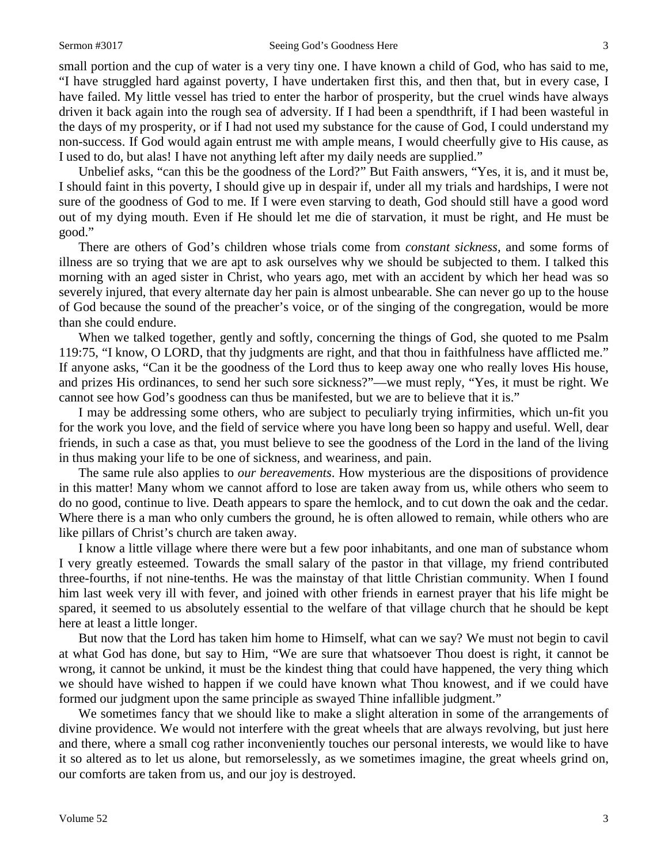small portion and the cup of water is a very tiny one. I have known a child of God, who has said to me, "I have struggled hard against poverty, I have undertaken first this, and then that, but in every case, I have failed. My little vessel has tried to enter the harbor of prosperity, but the cruel winds have always driven it back again into the rough sea of adversity. If I had been a spendthrift, if I had been wasteful in the days of my prosperity, or if I had not used my substance for the cause of God, I could understand my non-success. If God would again entrust me with ample means, I would cheerfully give to His cause, as I used to do, but alas! I have not anything left after my daily needs are supplied."

Unbelief asks, "can this be the goodness of the Lord?" But Faith answers, "Yes, it is, and it must be, I should faint in this poverty, I should give up in despair if, under all my trials and hardships, I were not sure of the goodness of God to me. If I were even starving to death, God should still have a good word out of my dying mouth. Even if He should let me die of starvation, it must be right, and He must be good."

There are others of God's children whose trials come from *constant sickness,* and some forms of illness are so trying that we are apt to ask ourselves why we should be subjected to them. I talked this morning with an aged sister in Christ, who years ago, met with an accident by which her head was so severely injured, that every alternate day her pain is almost unbearable. She can never go up to the house of God because the sound of the preacher's voice, or of the singing of the congregation, would be more than she could endure.

When we talked together, gently and softly, concerning the things of God, she quoted to me Psalm 119:75, "I know, O LORD, that thy judgments are right, and that thou in faithfulness have afflicted me." If anyone asks, "Can it be the goodness of the Lord thus to keep away one who really loves His house, and prizes His ordinances, to send her such sore sickness?"—we must reply, "Yes, it must be right. We cannot see how God's goodness can thus be manifested, but we are to believe that it is."

I may be addressing some others, who are subject to peculiarly trying infirmities, which un-fit you for the work you love, and the field of service where you have long been so happy and useful. Well, dear friends, in such a case as that, you must believe to see the goodness of the Lord in the land of the living in thus making your life to be one of sickness, and weariness, and pain.

The same rule also applies to *our bereavements*. How mysterious are the dispositions of providence in this matter! Many whom we cannot afford to lose are taken away from us, while others who seem to do no good, continue to live. Death appears to spare the hemlock, and to cut down the oak and the cedar. Where there is a man who only cumbers the ground, he is often allowed to remain, while others who are like pillars of Christ's church are taken away.

I know a little village where there were but a few poor inhabitants, and one man of substance whom I very greatly esteemed. Towards the small salary of the pastor in that village, my friend contributed three-fourths, if not nine-tenths. He was the mainstay of that little Christian community. When I found him last week very ill with fever, and joined with other friends in earnest prayer that his life might be spared, it seemed to us absolutely essential to the welfare of that village church that he should be kept here at least a little longer.

But now that the Lord has taken him home to Himself, what can we say? We must not begin to cavil at what God has done, but say to Him, "We are sure that whatsoever Thou doest is right, it cannot be wrong, it cannot be unkind, it must be the kindest thing that could have happened, the very thing which we should have wished to happen if we could have known what Thou knowest, and if we could have formed our judgment upon the same principle as swayed Thine infallible judgment."

We sometimes fancy that we should like to make a slight alteration in some of the arrangements of divine providence. We would not interfere with the great wheels that are always revolving, but just here and there, where a small cog rather inconveniently touches our personal interests, we would like to have it so altered as to let us alone, but remorselessly, as we sometimes imagine, the great wheels grind on, our comforts are taken from us, and our joy is destroyed.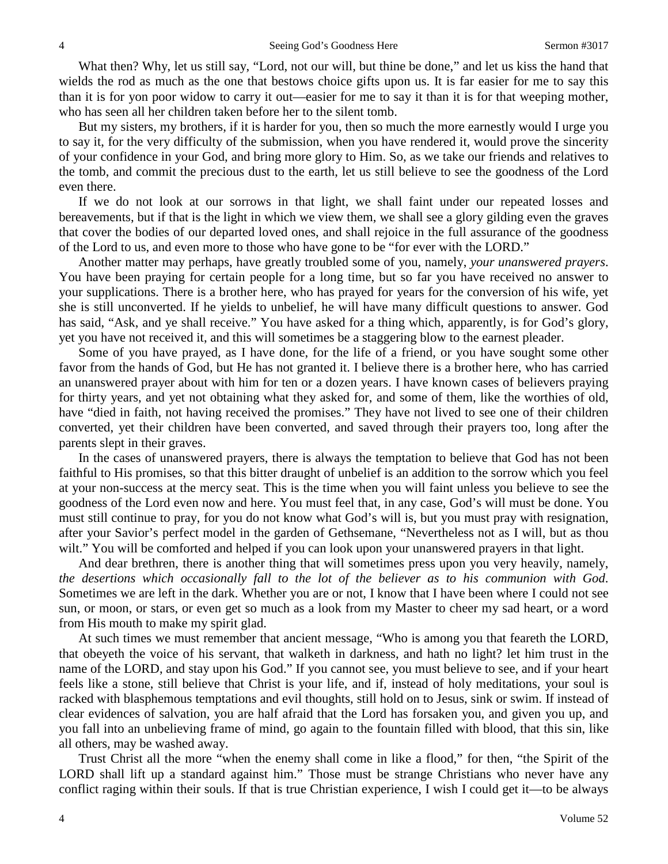What then? Why, let us still say, "Lord, not our will, but thine be done," and let us kiss the hand that wields the rod as much as the one that bestows choice gifts upon us. It is far easier for me to say this than it is for yon poor widow to carry it out—easier for me to say it than it is for that weeping mother, who has seen all her children taken before her to the silent tomb.

But my sisters, my brothers, if it is harder for you, then so much the more earnestly would I urge you to say it, for the very difficulty of the submission, when you have rendered it, would prove the sincerity of your confidence in your God, and bring more glory to Him. So, as we take our friends and relatives to the tomb, and commit the precious dust to the earth, let us still believe to see the goodness of the Lord even there.

If we do not look at our sorrows in that light, we shall faint under our repeated losses and bereavements, but if that is the light in which we view them, we shall see a glory gilding even the graves that cover the bodies of our departed loved ones, and shall rejoice in the full assurance of the goodness of the Lord to us, and even more to those who have gone to be "for ever with the LORD."

Another matter may perhaps, have greatly troubled some of you, namely, *your unanswered prayers*. You have been praying for certain people for a long time, but so far you have received no answer to your supplications. There is a brother here, who has prayed for years for the conversion of his wife, yet she is still unconverted. If he yields to unbelief, he will have many difficult questions to answer. God has said, "Ask, and ye shall receive." You have asked for a thing which, apparently, is for God's glory, yet you have not received it, and this will sometimes be a staggering blow to the earnest pleader.

Some of you have prayed, as I have done, for the life of a friend, or you have sought some other favor from the hands of God, but He has not granted it. I believe there is a brother here, who has carried an unanswered prayer about with him for ten or a dozen years. I have known cases of believers praying for thirty years, and yet not obtaining what they asked for, and some of them, like the worthies of old, have "died in faith, not having received the promises." They have not lived to see one of their children converted, yet their children have been converted, and saved through their prayers too, long after the parents slept in their graves.

In the cases of unanswered prayers, there is always the temptation to believe that God has not been faithful to His promises, so that this bitter draught of unbelief is an addition to the sorrow which you feel at your non-success at the mercy seat. This is the time when you will faint unless you believe to see the goodness of the Lord even now and here. You must feel that, in any case, God's will must be done. You must still continue to pray, for you do not know what God's will is, but you must pray with resignation, after your Savior's perfect model in the garden of Gethsemane, "Nevertheless not as I will, but as thou wilt." You will be comforted and helped if you can look upon your unanswered prayers in that light.

And dear brethren, there is another thing that will sometimes press upon you very heavily, namely, *the desertions which occasionally fall to the lot of the believer as to his communion with God*. Sometimes we are left in the dark. Whether you are or not, I know that I have been where I could not see sun, or moon, or stars, or even get so much as a look from my Master to cheer my sad heart, or a word from His mouth to make my spirit glad.

At such times we must remember that ancient message, "Who is among you that feareth the LORD, that obeyeth the voice of his servant, that walketh in darkness, and hath no light? let him trust in the name of the LORD, and stay upon his God." If you cannot see, you must believe to see, and if your heart feels like a stone, still believe that Christ is your life, and if, instead of holy meditations, your soul is racked with blasphemous temptations and evil thoughts, still hold on to Jesus, sink or swim. If instead of clear evidences of salvation, you are half afraid that the Lord has forsaken you, and given you up, and you fall into an unbelieving frame of mind, go again to the fountain filled with blood, that this sin, like all others, may be washed away.

Trust Christ all the more "when the enemy shall come in like a flood," for then, "the Spirit of the LORD shall lift up a standard against him." Those must be strange Christians who never have any conflict raging within their souls. If that is true Christian experience, I wish I could get it—to be always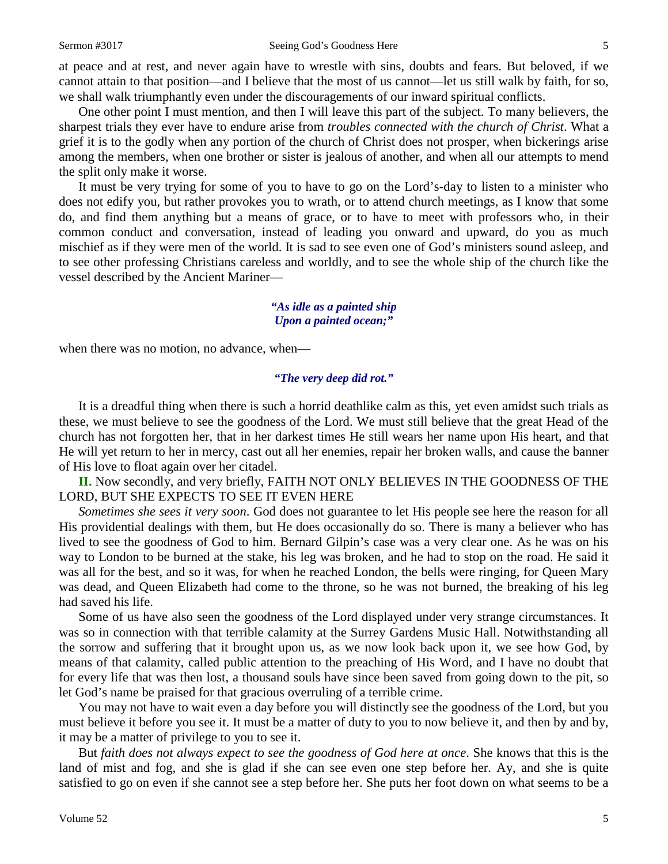at peace and at rest, and never again have to wrestle with sins, doubts and fears. But beloved, if we cannot attain to that position—and I believe that the most of us cannot—let us still walk by faith, for so, we shall walk triumphantly even under the discouragements of our inward spiritual conflicts.

One other point I must mention, and then I will leave this part of the subject. To many believers, the sharpest trials they ever have to endure arise from *troubles connected with the church of Christ*. What a grief it is to the godly when any portion of the church of Christ does not prosper, when bickerings arise among the members, when one brother or sister is jealous of another, and when all our attempts to mend the split only make it worse.

It must be very trying for some of you to have to go on the Lord's-day to listen to a minister who does not edify you, but rather provokes you to wrath, or to attend church meetings, as I know that some do, and find them anything but a means of grace, or to have to meet with professors who, in their common conduct and conversation, instead of leading you onward and upward, do you as much mischief as if they were men of the world. It is sad to see even one of God's ministers sound asleep, and to see other professing Christians careless and worldly, and to see the whole ship of the church like the vessel described by the Ancient Mariner—

#### *"As idle as a painted ship Upon a painted ocean;"*

when there was no motion, no advance, when—

#### *"The very deep did rot."*

It is a dreadful thing when there is such a horrid deathlike calm as this, yet even amidst such trials as these, we must believe to see the goodness of the Lord. We must still believe that the great Head of the church has not forgotten her, that in her darkest times He still wears her name upon His heart, and that He will yet return to her in mercy, cast out all her enemies, repair her broken walls, and cause the banner of His love to float again over her citadel.

**II.** Now secondly, and very briefly, FAITH NOT ONLY BELIEVES IN THE GOODNESS OF THE LORD, BUT SHE EXPECTS TO SEE IT EVEN HERE

*Sometimes she sees it very soon*. God does not guarantee to let His people see here the reason for all His providential dealings with them, but He does occasionally do so. There is many a believer who has lived to see the goodness of God to him. Bernard Gilpin's case was a very clear one. As he was on his way to London to be burned at the stake, his leg was broken, and he had to stop on the road. He said it was all for the best, and so it was, for when he reached London, the bells were ringing, for Queen Mary was dead, and Queen Elizabeth had come to the throne, so he was not burned, the breaking of his leg had saved his life.

Some of us have also seen the goodness of the Lord displayed under very strange circumstances. It was so in connection with that terrible calamity at the Surrey Gardens Music Hall. Notwithstanding all the sorrow and suffering that it brought upon us, as we now look back upon it, we see how God, by means of that calamity, called public attention to the preaching of His Word, and I have no doubt that for every life that was then lost, a thousand souls have since been saved from going down to the pit, so let God's name be praised for that gracious overruling of a terrible crime.

You may not have to wait even a day before you will distinctly see the goodness of the Lord, but you must believe it before you see it. It must be a matter of duty to you to now believe it, and then by and by, it may be a matter of privilege to you to see it.

But *faith does not always expect to see the goodness of God here at once*. She knows that this is the land of mist and fog, and she is glad if she can see even one step before her. Ay, and she is quite satisfied to go on even if she cannot see a step before her. She puts her foot down on what seems to be a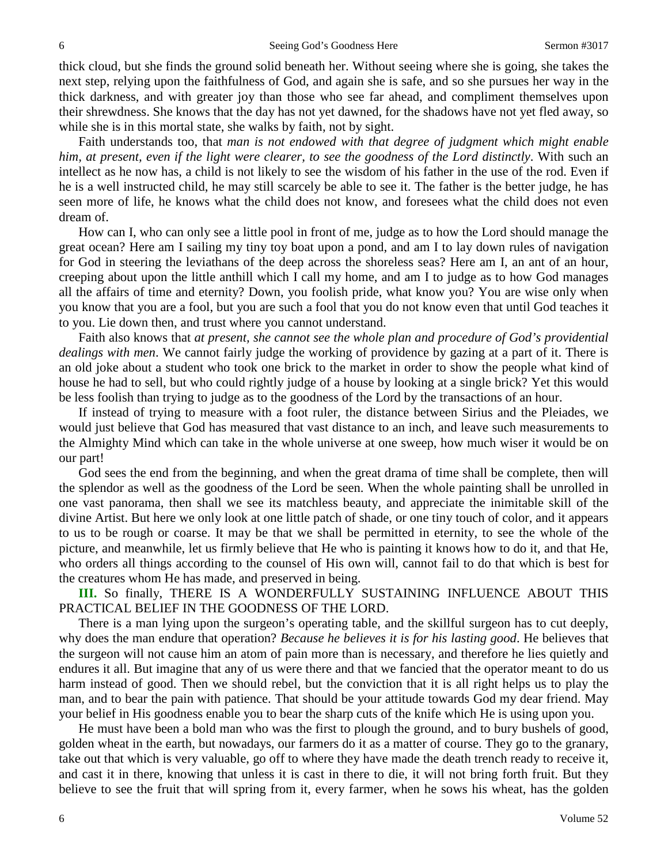thick cloud, but she finds the ground solid beneath her. Without seeing where she is going, she takes the next step, relying upon the faithfulness of God, and again she is safe, and so she pursues her way in the thick darkness, and with greater joy than those who see far ahead, and compliment themselves upon their shrewdness. She knows that the day has not yet dawned, for the shadows have not yet fled away, so while she is in this mortal state, she walks by faith, not by sight.

Faith understands too, that *man is not endowed with that degree of judgment which might enable him, at present, even if the light were clearer, to see the goodness of the Lord distinctly*. With such an intellect as he now has, a child is not likely to see the wisdom of his father in the use of the rod. Even if he is a well instructed child, he may still scarcely be able to see it. The father is the better judge, he has seen more of life, he knows what the child does not know, and foresees what the child does not even dream of.

How can I, who can only see a little pool in front of me, judge as to how the Lord should manage the great ocean? Here am I sailing my tiny toy boat upon a pond, and am I to lay down rules of navigation for God in steering the leviathans of the deep across the shoreless seas? Here am I, an ant of an hour, creeping about upon the little anthill which I call my home, and am I to judge as to how God manages all the affairs of time and eternity? Down, you foolish pride, what know you? You are wise only when you know that you are a fool, but you are such a fool that you do not know even that until God teaches it to you. Lie down then, and trust where you cannot understand.

Faith also knows that *at present, she cannot see the whole plan and procedure of God's providential dealings with men*. We cannot fairly judge the working of providence by gazing at a part of it. There is an old joke about a student who took one brick to the market in order to show the people what kind of house he had to sell, but who could rightly judge of a house by looking at a single brick? Yet this would be less foolish than trying to judge as to the goodness of the Lord by the transactions of an hour.

If instead of trying to measure with a foot ruler, the distance between Sirius and the Pleiades, we would just believe that God has measured that vast distance to an inch, and leave such measurements to the Almighty Mind which can take in the whole universe at one sweep, how much wiser it would be on our part!

God sees the end from the beginning, and when the great drama of time shall be complete, then will the splendor as well as the goodness of the Lord be seen. When the whole painting shall be unrolled in one vast panorama, then shall we see its matchless beauty, and appreciate the inimitable skill of the divine Artist. But here we only look at one little patch of shade, or one tiny touch of color, and it appears to us to be rough or coarse. It may be that we shall be permitted in eternity, to see the whole of the picture, and meanwhile, let us firmly believe that He who is painting it knows how to do it, and that He, who orders all things according to the counsel of His own will, cannot fail to do that which is best for the creatures whom He has made, and preserved in being.

**III.** So finally, THERE IS A WONDERFULLY SUSTAINING INFLUENCE ABOUT THIS PRACTICAL BELIEF IN THE GOODNESS OF THE LORD.

There is a man lying upon the surgeon's operating table, and the skillful surgeon has to cut deeply, why does the man endure that operation? *Because he believes it is for his lasting good*. He believes that the surgeon will not cause him an atom of pain more than is necessary, and therefore he lies quietly and endures it all. But imagine that any of us were there and that we fancied that the operator meant to do us harm instead of good. Then we should rebel, but the conviction that it is all right helps us to play the man, and to bear the pain with patience. That should be your attitude towards God my dear friend. May your belief in His goodness enable you to bear the sharp cuts of the knife which He is using upon you.

He must have been a bold man who was the first to plough the ground, and to bury bushels of good, golden wheat in the earth, but nowadays, our farmers do it as a matter of course. They go to the granary, take out that which is very valuable, go off to where they have made the death trench ready to receive it, and cast it in there, knowing that unless it is cast in there to die, it will not bring forth fruit. But they believe to see the fruit that will spring from it, every farmer, when he sows his wheat, has the golden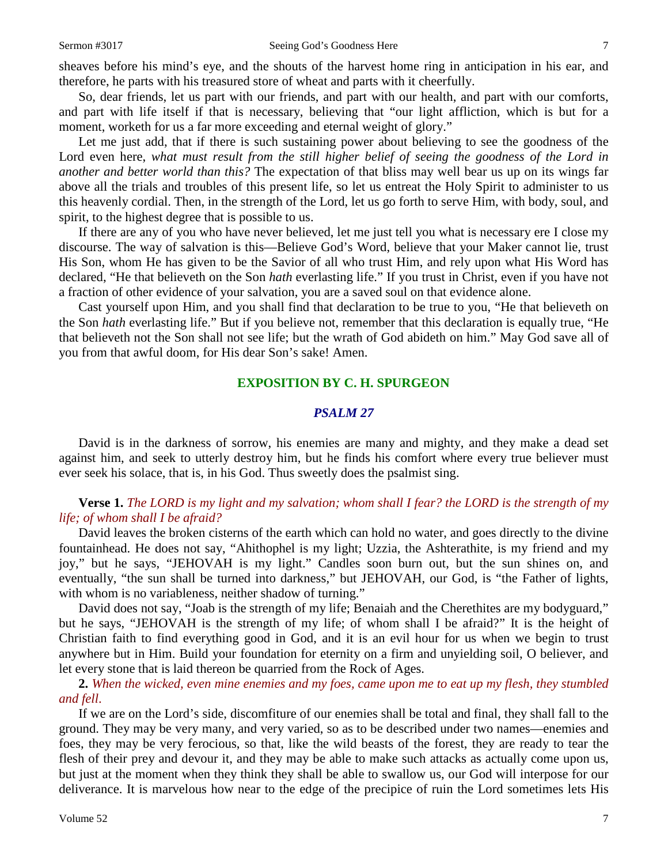sheaves before his mind's eye, and the shouts of the harvest home ring in anticipation in his ear, and therefore, he parts with his treasured store of wheat and parts with it cheerfully.

So, dear friends, let us part with our friends, and part with our health, and part with our comforts, and part with life itself if that is necessary, believing that "our light affliction, which is but for a moment, worketh for us a far more exceeding and eternal weight of glory."

Let me just add, that if there is such sustaining power about believing to see the goodness of the Lord even here, *what must result from the still higher belief of seeing the goodness of the Lord in another and better world than this?* The expectation of that bliss may well bear us up on its wings far above all the trials and troubles of this present life, so let us entreat the Holy Spirit to administer to us this heavenly cordial. Then, in the strength of the Lord, let us go forth to serve Him, with body, soul, and spirit, to the highest degree that is possible to us.

If there are any of you who have never believed, let me just tell you what is necessary ere I close my discourse. The way of salvation is this—Believe God's Word, believe that your Maker cannot lie, trust His Son, whom He has given to be the Savior of all who trust Him, and rely upon what His Word has declared, "He that believeth on the Son *hath* everlasting life." If you trust in Christ, even if you have not a fraction of other evidence of your salvation, you are a saved soul on that evidence alone.

Cast yourself upon Him, and you shall find that declaration to be true to you, "He that believeth on the Son *hath* everlasting life." But if you believe not, remember that this declaration is equally true, "He that believeth not the Son shall not see life; but the wrath of God abideth on him." May God save all of you from that awful doom, for His dear Son's sake! Amen.

#### **EXPOSITION BY C. H. SPURGEON**

#### *PSALM 27*

David is in the darkness of sorrow, his enemies are many and mighty, and they make a dead set against him, and seek to utterly destroy him, but he finds his comfort where every true believer must ever seek his solace, that is, in his God. Thus sweetly does the psalmist sing.

# **Verse 1.** *The LORD is my light and my salvation; whom shall I fear? the LORD is the strength of my life; of whom shall I be afraid?*

David leaves the broken cisterns of the earth which can hold no water, and goes directly to the divine fountainhead. He does not say, "Ahithophel is my light; Uzzia, the Ashterathite, is my friend and my joy," but he says, "JEHOVAH is my light." Candles soon burn out, but the sun shines on, and eventually, "the sun shall be turned into darkness," but JEHOVAH, our God, is "the Father of lights, with whom is no variableness, neither shadow of turning."

David does not say, "Joab is the strength of my life; Benaiah and the Cherethites are my bodyguard," but he says, "JEHOVAH is the strength of my life; of whom shall I be afraid?" It is the height of Christian faith to find everything good in God, and it is an evil hour for us when we begin to trust anywhere but in Him. Build your foundation for eternity on a firm and unyielding soil, O believer, and let every stone that is laid thereon be quarried from the Rock of Ages.

**2.** *When the wicked, even mine enemies and my foes, came upon me to eat up my flesh, they stumbled and fell*.

If we are on the Lord's side, discomfiture of our enemies shall be total and final, they shall fall to the ground. They may be very many, and very varied, so as to be described under two names—enemies and foes, they may be very ferocious, so that, like the wild beasts of the forest, they are ready to tear the flesh of their prey and devour it, and they may be able to make such attacks as actually come upon us, but just at the moment when they think they shall be able to swallow us, our God will interpose for our deliverance. It is marvelous how near to the edge of the precipice of ruin the Lord sometimes lets His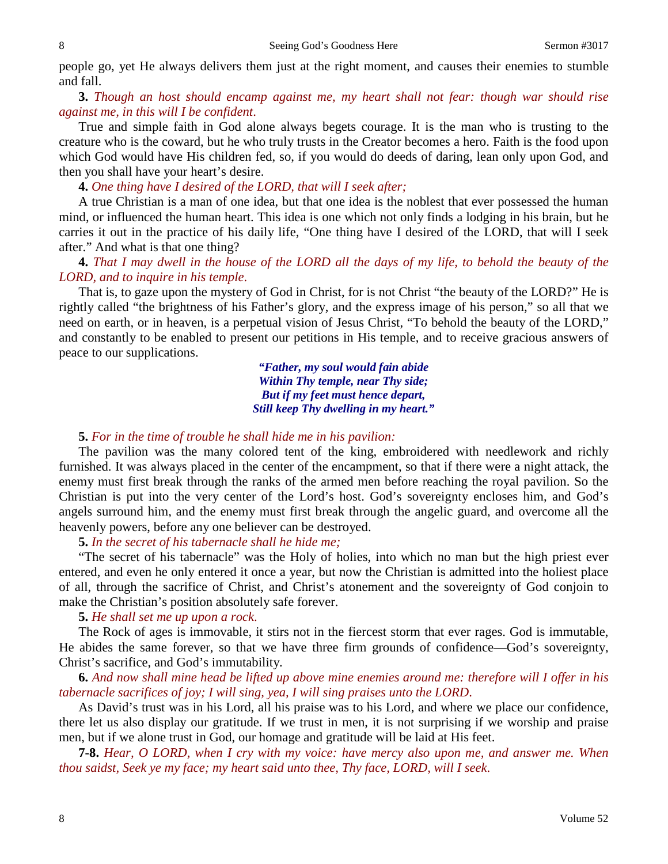people go, yet He always delivers them just at the right moment, and causes their enemies to stumble and fall.

**3.** *Though an host should encamp against me, my heart shall not fear: though war should rise against me, in this will I be confident*.

True and simple faith in God alone always begets courage. It is the man who is trusting to the creature who is the coward, but he who truly trusts in the Creator becomes a hero. Faith is the food upon which God would have His children fed, so, if you would do deeds of daring, lean only upon God, and then you shall have your heart's desire.

**4.** *One thing have I desired of the LORD, that will I seek after;*

A true Christian is a man of one idea, but that one idea is the noblest that ever possessed the human mind, or influenced the human heart. This idea is one which not only finds a lodging in his brain, but he carries it out in the practice of his daily life, "One thing have I desired of the LORD, that will I seek after." And what is that one thing?

**4.** *That I may dwell in the house of the LORD all the days of my life, to behold the beauty of the LORD, and to inquire in his temple*.

That is, to gaze upon the mystery of God in Christ, for is not Christ "the beauty of the LORD?" He is rightly called "the brightness of his Father's glory, and the express image of his person," so all that we need on earth, or in heaven, is a perpetual vision of Jesus Christ, "To behold the beauty of the LORD," and constantly to be enabled to present our petitions in His temple, and to receive gracious answers of peace to our supplications.

> *"Father, my soul would fain abide Within Thy temple, near Thy side; But if my feet must hence depart, Still keep Thy dwelling in my heart."*

## **5.** *For in the time of trouble he shall hide me in his pavilion:*

The pavilion was the many colored tent of the king, embroidered with needlework and richly furnished. It was always placed in the center of the encampment, so that if there were a night attack, the enemy must first break through the ranks of the armed men before reaching the royal pavilion. So the Christian is put into the very center of the Lord's host. God's sovereignty encloses him, and God's angels surround him, and the enemy must first break through the angelic guard, and overcome all the heavenly powers, before any one believer can be destroyed.

## **5.** *In the secret of his tabernacle shall he hide me;*

"The secret of his tabernacle" was the Holy of holies, into which no man but the high priest ever entered, and even he only entered it once a year, but now the Christian is admitted into the holiest place of all, through the sacrifice of Christ, and Christ's atonement and the sovereignty of God conjoin to make the Christian's position absolutely safe forever.

**5.** *He shall set me up upon a rock*.

The Rock of ages is immovable, it stirs not in the fiercest storm that ever rages. God is immutable, He abides the same forever, so that we have three firm grounds of confidence—God's sovereignty, Christ's sacrifice, and God's immutability.

**6.** *And now shall mine head be lifted up above mine enemies around me: therefore will I offer in his tabernacle sacrifices of joy; I will sing, yea, I will sing praises unto the LORD*.

As David's trust was in his Lord, all his praise was to his Lord, and where we place our confidence, there let us also display our gratitude. If we trust in men, it is not surprising if we worship and praise men, but if we alone trust in God, our homage and gratitude will be laid at His feet.

**7-8.** *Hear, O LORD, when I cry with my voice: have mercy also upon me, and answer me. When thou saidst, Seek ye my face; my heart said unto thee, Thy face, LORD, will I seek*.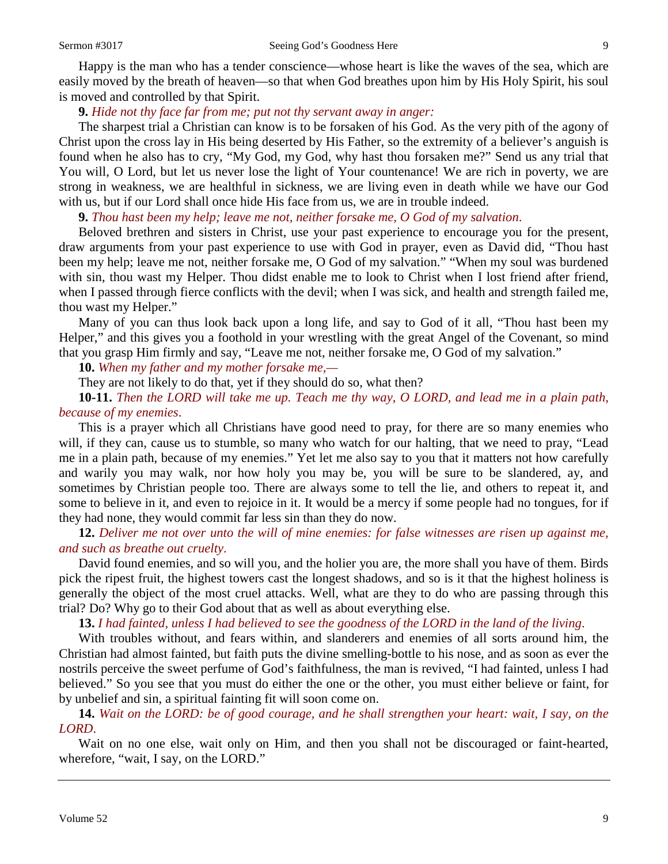Happy is the man who has a tender conscience—whose heart is like the waves of the sea, which are easily moved by the breath of heaven—so that when God breathes upon him by His Holy Spirit, his soul is moved and controlled by that Spirit.

## **9.** *Hide not thy face far from me; put not thy servant away in anger:*

The sharpest trial a Christian can know is to be forsaken of his God. As the very pith of the agony of Christ upon the cross lay in His being deserted by His Father, so the extremity of a believer's anguish is found when he also has to cry, "My God, my God, why hast thou forsaken me?" Send us any trial that You will, O Lord, but let us never lose the light of Your countenance! We are rich in poverty, we are strong in weakness, we are healthful in sickness, we are living even in death while we have our God with us, but if our Lord shall once hide His face from us, we are in trouble indeed.

**9.** *Thou hast been my help; leave me not, neither forsake me, O God of my salvation*.

Beloved brethren and sisters in Christ, use your past experience to encourage you for the present, draw arguments from your past experience to use with God in prayer, even as David did, "Thou hast been my help; leave me not, neither forsake me, O God of my salvation." "When my soul was burdened with sin, thou wast my Helper. Thou didst enable me to look to Christ when I lost friend after friend, when I passed through fierce conflicts with the devil; when I was sick, and health and strength failed me, thou wast my Helper."

Many of you can thus look back upon a long life, and say to God of it all, "Thou hast been my Helper," and this gives you a foothold in your wrestling with the great Angel of the Covenant, so mind that you grasp Him firmly and say, "Leave me not, neither forsake me, O God of my salvation."

**10.** *When my father and my mother forsake me,—*

They are not likely to do that, yet if they should do so, what then?

**10-11.** *Then the LORD will take me up. Teach me thy way, O LORD, and lead me in a plain path, because of my enemies*.

This is a prayer which all Christians have good need to pray, for there are so many enemies who will, if they can, cause us to stumble, so many who watch for our halting, that we need to pray, "Lead me in a plain path, because of my enemies." Yet let me also say to you that it matters not how carefully and warily you may walk, nor how holy you may be, you will be sure to be slandered, ay, and sometimes by Christian people too. There are always some to tell the lie, and others to repeat it, and some to believe in it, and even to rejoice in it. It would be a mercy if some people had no tongues, for if they had none, they would commit far less sin than they do now.

**12.** *Deliver me not over unto the will of mine enemies: for false witnesses are risen up against me, and such as breathe out cruelty*.

David found enemies, and so will you, and the holier you are, the more shall you have of them. Birds pick the ripest fruit, the highest towers cast the longest shadows, and so is it that the highest holiness is generally the object of the most cruel attacks. Well, what are they to do who are passing through this trial? Do? Why go to their God about that as well as about everything else.

**13.** *I had fainted, unless I had believed to see the goodness of the LORD in the land of the living*.

With troubles without, and fears within, and slanderers and enemies of all sorts around him, the Christian had almost fainted, but faith puts the divine smelling-bottle to his nose, and as soon as ever the nostrils perceive the sweet perfume of God's faithfulness, the man is revived, "I had fainted, unless I had believed." So you see that you must do either the one or the other, you must either believe or faint, for by unbelief and sin, a spiritual fainting fit will soon come on.

**14.** *Wait on the LORD: be of good courage, and he shall strengthen your heart: wait, I say, on the LORD*.

Wait on no one else, wait only on Him, and then you shall not be discouraged or faint-hearted, wherefore, "wait, I say, on the LORD."